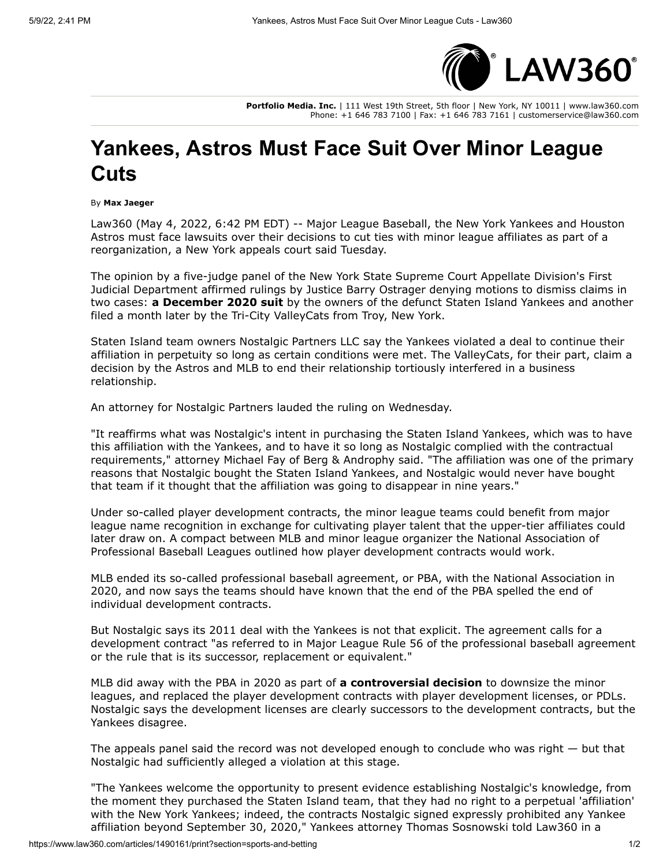

**Portfolio Media. Inc.** | 111 West 19th Street, 5th floor | New York, NY 10011 | www.law360.com Phone: +1 646 783 7100 | Fax: +1 646 783 7161 | customerservice@law360.com

## **Yankees, Astros Must Face Suit Over Minor League Cuts**

By **Max Jaeger**

[Law360 \(May 4, 2022, 6:42 PM EDT\) --](https://www.law360.com/companies/houston-astros) [Major League Basebal](https://www.law360.com/companies/major-league-baseball-inc)[l, the N](https://www.law360.com/companies/houston-astros)[ew York Yankees](https://www.law360.com/companies/new-york-yankees) [and Houston](https://www.law360.com/companies/houston-astros) Astros must face lawsuits over their decisions to cut ties with minor league affiliates as part of a reorganization, a New York appeals court said Tuesday.

The opinion by a five-judge panel of the New York State Supreme Court Appellate Division's First Judicial Department affirmed rulings by Justice Barry Ostrager denying motions to dismiss claims in two cases: **[a December 2020 suit](https://www.law360.com/articles/1334461)** by the owners of the defunct Staten Island Yankees and another filed a month later by the Tri-City ValleyCats from Troy, New York.

Staten Island team owners Nostalgic Partners LLC say the Yankees violated a deal to continue their affiliation in perpetuity so long as certain conditions were met. The ValleyCats, for their part, claim a decision by the Astros and MLB to end their relationship tortiously interfered in a business relationship.

An attorney for Nostalgic Partners lauded the ruling on Wednesday.

"It reaffirms what was Nostalgic's intent in purchasing the Staten Island Yankees, which was to have this affiliation with the Yankees, and to have it so long as Nostalgic complied with the contractual requirements," attorney Michael Fay of [Berg & Androphy](https://www.law360.com/firms/berg-androphy) said. "The affiliation was one of the primary reasons that Nostalgic bought the Staten Island Yankees, and Nostalgic would never have bought that team if it thought that the affiliation was going to disappear in nine years."

Under so-called player development contracts, the minor league teams could benefit from major league name recognition in exchange for cultivating player talent that the upper-tier affiliates could [later draw on. A compact between MLB and minor league organizer the National Association of](https://www.law360.com/companies/minor-league-baseball) Professional Baseball Leagues outlined how player development contracts would work.

MLB ended its so-called professional baseball agreement, or PBA, with the National Association in 2020, and now says the teams should have known that the end of the PBA spelled the end of individual development contracts.

But Nostalgic says its 2011 deal with the Yankees is not that explicit. The agreement calls for a development contract "as referred to in Major League Rule 56 of the professional baseball agreement or the rule that is its successor, replacement or equivalent."

MLB did away with the PBA in 2020 as part of **[a controversial decision](https://www.law360.com/articles/1221579)** to downsize the minor leagues, and replaced the player development contracts with player development licenses, or PDLs. Nostalgic says the development licenses are clearly successors to the development contracts, but the Yankees disagree.

The appeals panel said the record was not developed enough to conclude who was right — but that Nostalgic had sufficiently alleged a violation at this stage.

"The Yankees welcome the opportunity to present evidence establishing Nostalgic's knowledge, from the moment they purchased the Staten Island team, that they had no right to a perpetual 'affiliation' with the New York Yankees; indeed, the contracts Nostalgic signed expressly prohibited any Yankee affiliation beyond September 30, 2020," Yankees attorney Thomas Sosnowski told Law360 in a